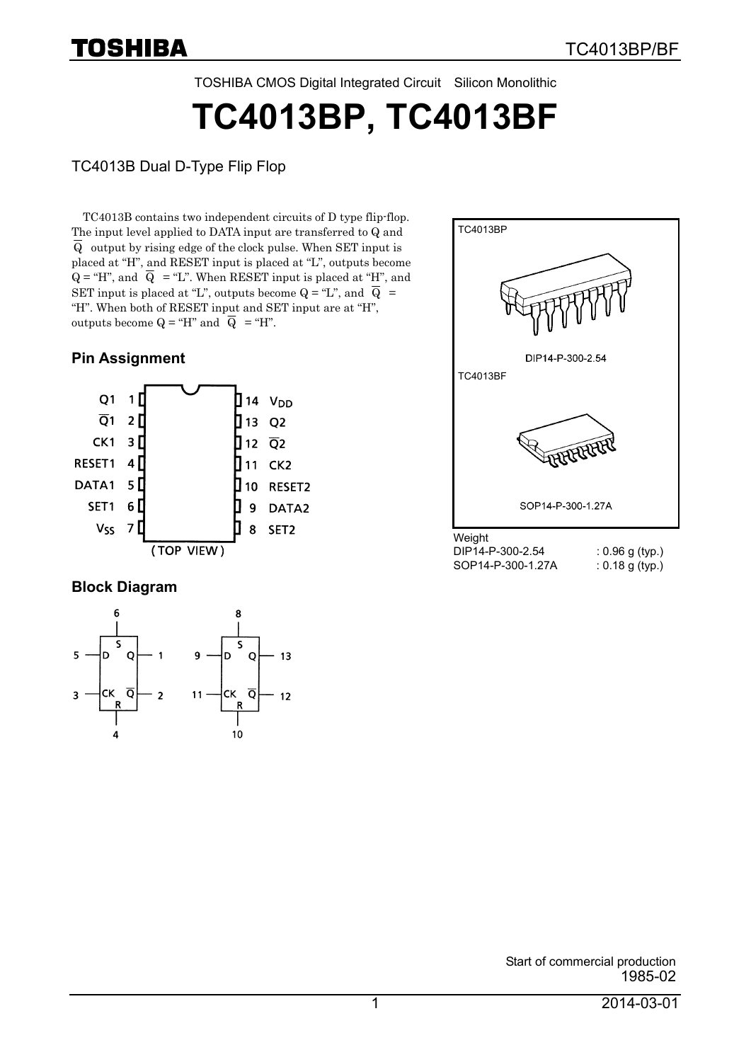TOSHIBA CMOS Digital Integrated Circuit Silicon Monolithic

**TC4013BP, TC4013BF**

TC4013B Dual D-Type Flip Flop

TC4013B contains two independent circuits of D type flip-flop. The input level applied to DATA input are transferred to Q and  $\overline{Q}$  output by rising edge of the clock pulse. When SET input is placed at "H", and RESET input is placed at "L", outputs become  $Q = H''$ , and  $\overline{Q} = H''$ . When RESET input is placed at "H", and SET input is placed at "L", outputs become  $Q = L$ ", and  $\overline{Q}$  = "H". When both of RESET input and SET input are at "H", outputs become  $Q = H''$  and  $\overline{Q} = H''$ .

### **Pin Assignment**



#### **Block Diagram**



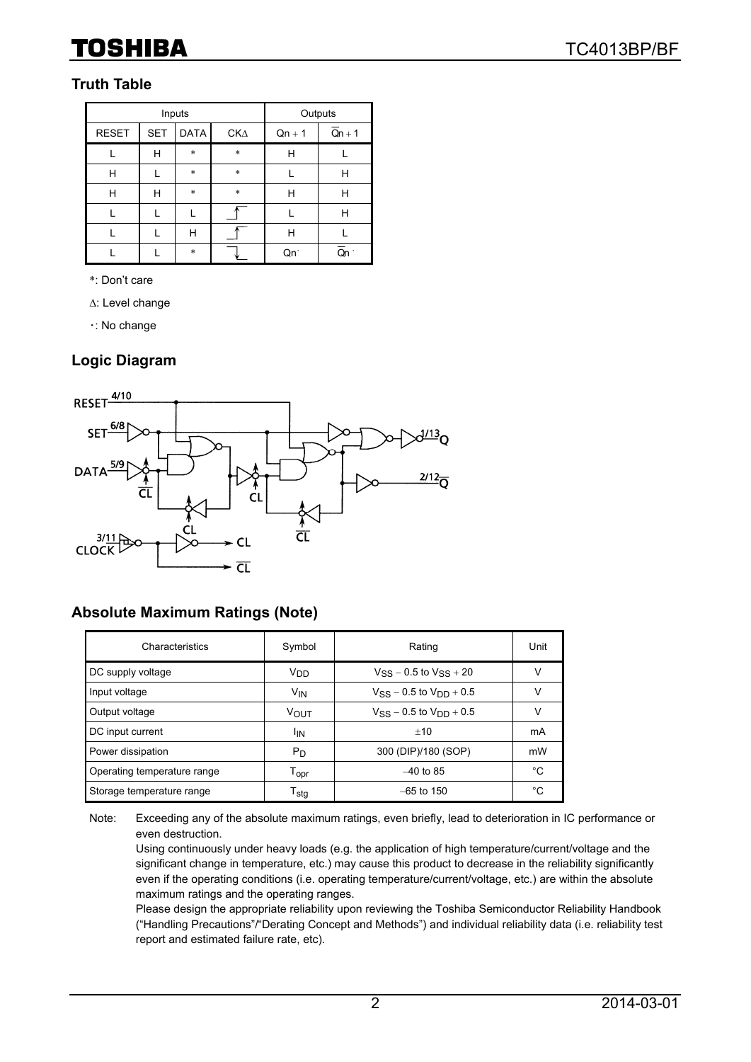## TOSHIBA

### **Truth Table**

|              | Inputs           | Outputs     |        |          |          |
|--------------|------------------|-------------|--------|----------|----------|
| <b>RESET</b> | <b>SET</b>       | <b>DATA</b> | CK∆    | $Qn + 1$ | $Qn + 1$ |
|              | Н                | $\ast$      | $\ast$ | н        |          |
| н            | $\ast$<br>$\ast$ |             |        | Н        |          |
| н            | Н                | $\ast$      | $\ast$ | н        | Н        |
|              |                  |             |        |          | Н        |
|              |                  | Н           |        | н        |          |
|              |                  | $\ast$      |        | Qn.      |          |

\*: Don't care

Δ: Level change

・: No change

### **Logic Diagram**



### **Absolute Maximum Ratings (Note)**

| Characteristics             | Symbol                      | Rating                           | Unit |
|-----------------------------|-----------------------------|----------------------------------|------|
| DC supply voltage           | V <sub>DD</sub>             | $V_{SS}$ – 0.5 to $V_{SS}$ + 20  | ν    |
| Input voltage               | <b>V<sub>IN</sub></b>       | $V_{SS}$ – 0.5 to $V_{DD}$ + 0.5 | ν    |
| Output voltage              | VOUT                        | $V_{SS}$ – 0.5 to $V_{DD}$ + 0.5 | ν    |
| DC input current            | <sup>I</sup> IN             | $+10$                            | mA   |
| Power dissipation           | P <sub>D</sub>              | 300 (DIP)/180 (SOP)              | mW   |
| Operating temperature range | $\mathsf{T}_{\mathsf{opr}}$ | $-40$ to 85                      | °C   |
| Storage temperature range   | $\mathsf{T}_{\textsf{stg}}$ | $-65$ to 150                     | °C   |

Note: Exceeding any of the absolute maximum ratings, even briefly, lead to deterioration in IC performance or even destruction.

Using continuously under heavy loads (e.g. the application of high temperature/current/voltage and the significant change in temperature, etc.) may cause this product to decrease in the reliability significantly even if the operating conditions (i.e. operating temperature/current/voltage, etc.) are within the absolute maximum ratings and the operating ranges.

Please design the appropriate reliability upon reviewing the Toshiba Semiconductor Reliability Handbook ("Handling Precautions"/"Derating Concept and Methods") and individual reliability data (i.e. reliability test report and estimated failure rate, etc).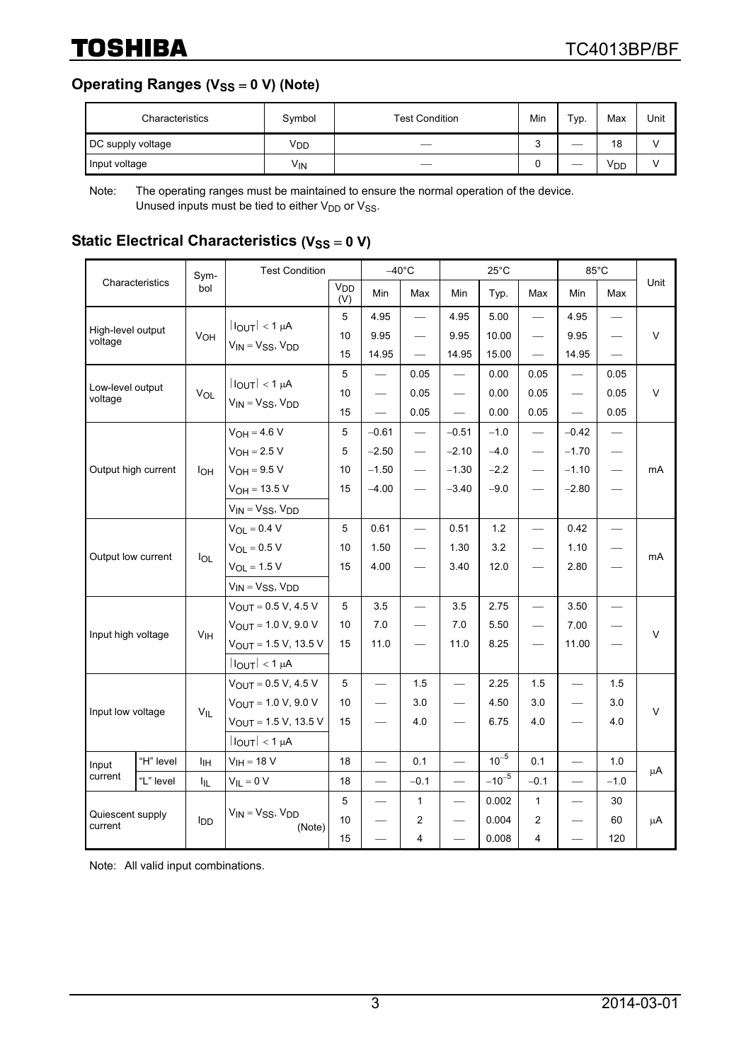**Operating Ranges (V<sub>SS</sub> = 0 V) (Note)** 

| Characteristics   | Symbol          | <b>Test Condition</b> | Min | $TVP$ . | Max | Unit |
|-------------------|-----------------|-----------------------|-----|---------|-----|------|
| DC supply voltage | V <sub>DD</sub> |                       | ີ   | ___     | 18  |      |
| Input voltage     | Vın             | __                    |     | ___     | VDD |      |

Note: The operating ranges must be maintained to ensure the normal operation of the device. Unused inputs must be tied to either  $V_{DD}$  or  $V_{SS}$ .

### **Static Electrical Characteristics (V<sub>SS</sub> = 0 V)**

| Characteristics              |           | Sym-<br>bol            | <b>Test Condition</b>                  |                        | $-40^{\circ}$ C          |                          | $25^{\circ}$ C           |            |                          | 85°C                     |                                 |              |
|------------------------------|-----------|------------------------|----------------------------------------|------------------------|--------------------------|--------------------------|--------------------------|------------|--------------------------|--------------------------|---------------------------------|--------------|
|                              |           |                        |                                        | V <sub>DD</sub><br>(V) | Min                      | Max                      | Min                      | Typ.       | Max                      | Min                      | Max                             | Unit         |
|                              |           |                        |                                        | 5                      | 4.95                     | $\overline{\phantom{0}}$ | 4.95                     | 5.00       |                          | 4.95                     | $\overbrace{\phantom{12333}}$   |              |
| High-level output<br>voltage |           | V <sub>OH</sub>        | $ I_{OUT}  < 1 \mu A$                  | 10                     | 9.95                     |                          | 9.95                     | 10.00      |                          | 9.95                     |                                 | V            |
|                              |           |                        | $V_{IN} = V_{SS}$ , $V_{DD}$           | 15                     | 14.95                    |                          | 14.95                    | 15.00      | $\overline{\phantom{0}}$ | 14.95                    |                                 |              |
|                              |           |                        | $ I_{OUT}  < 1 \mu A$                  | 5                      | $\overline{\phantom{0}}$ | 0.05                     | $\overline{\phantom{0}}$ | 0.00       | 0.05                     |                          | 0.05                            |              |
| Low-level output<br>voltage  |           | VOL                    |                                        | 10                     |                          | 0.05                     |                          | 0.00       | 0.05                     |                          | 0.05                            | $\mathsf{V}$ |
|                              |           |                        | $V_{IN} = V_{SS}$ , $V_{DD}$           | 15                     |                          | 0.05                     |                          | 0.00       | 0.05                     |                          | 0.05                            |              |
|                              |           |                        | $V_{OH} = 4.6 V$                       | 5                      | $-0.61$                  | $\overline{\phantom{0}}$ | $-0.51$                  | $-1.0$     |                          | $-0.42$                  | $\overline{\phantom{m}}$        |              |
|                              |           |                        | $V_{OH} = 2.5 V$                       | 5                      | $-2.50$                  | $\overline{\phantom{0}}$ | $-2.10$                  | $-4.0$     |                          | $-1.70$                  | $\hspace{0.1mm}-\hspace{0.1mm}$ |              |
| Output high current          |           | Iон                    | $V_{OH} = 9.5 V$                       | 10                     | $-1.50$                  |                          | $-1.30$                  | $-2.2$     | $\overline{\phantom{m}}$ | $-1.10$                  | $\overline{\phantom{m}}$        | mA           |
|                              |           |                        | $V_{OH} = 13.5 V$                      | 15                     | $-4.00$                  |                          | $-3.40$                  | $-9.0$     |                          | $-2.80$                  |                                 |              |
|                              |           |                        | $V_{IN} = V_{SS}$ , $V_{DD}$           |                        |                          |                          |                          |            |                          |                          |                                 |              |
|                              |           | $I_{OL}$               | $V_{OL} = 0.4 V$                       | 5                      | 0.61                     | $\overline{\phantom{0}}$ | 0.51                     | 1.2        |                          | 0.42                     |                                 | mA           |
|                              |           |                        | $V_{OL} = 0.5 V$                       | 10                     | 1.50                     |                          | 1.30                     | 3.2        |                          | 1.10                     |                                 |              |
| Output low current           |           |                        | $V_{OL} = 1.5 V$                       | 15                     | 4.00                     |                          | 3.40                     | 12.0       |                          | 2.80                     |                                 |              |
|                              |           |                        | $V_{IN} = V_{SS}$ , $V_{DD}$           |                        |                          |                          |                          |            |                          |                          |                                 |              |
|                              |           | V <sub>IH</sub>        | $V_{\text{OUT}} = 0.5 V, 4.5 V$        | 5                      | 3.5                      |                          | 3.5                      | 2.75       |                          | 3.50                     |                                 | V            |
|                              |           |                        | $V_{OUT} = 1.0 V, 9.0 V$               | 10                     | 7.0                      |                          | 7.0                      | 5.50       |                          | 7.00                     |                                 |              |
| Input high voltage           |           |                        | $V_{OUT} = 1.5 V, 13.5 V$              | 15                     | 11.0                     |                          | 11.0                     | 8.25       |                          | 11.00                    |                                 |              |
|                              |           |                        | $ I_{OUT}  < 1 \mu A$                  |                        |                          |                          |                          |            |                          |                          |                                 |              |
|                              |           |                        | $V_{\text{OUT}} = 0.5 V, 4.5 V$        | 5                      | $\overline{\phantom{0}}$ | 1.5                      | $\overline{\phantom{0}}$ | 2.25       | 1.5                      | $\overline{\phantom{0}}$ | 1.5                             |              |
|                              |           |                        | $V_{OUT} = 1.0 V, 9.0 V$               | 10                     |                          | 3.0                      | $\overline{\phantom{0}}$ | 4.50       | 3.0                      |                          | 3.0                             |              |
| Input low voltage            |           | $V_{IL}$               | $V_{OUT} = 1.5 V, 13.5 V$              | 15                     |                          | 4.0                      |                          | 6.75       | 4.0                      |                          | 4.0                             | V            |
|                              |           |                        | $ I_{OUT}  < 1 \mu A$                  |                        |                          |                          |                          |            |                          |                          |                                 |              |
| Input<br>current             | "H" level | Iін                    | $V_{IH} = 18 V$                        | 18                     | $\qquad \qquad$          | 0.1                      |                          | $10^{-5}$  | 0.1                      | $\overline{\phantom{0}}$ | 1.0                             |              |
|                              | "L" level | I <sub>IL</sub>        | $V_{IL} = 0 V$                         | 18                     |                          | $-0.1$                   | $\overline{\phantom{0}}$ | $-10^{-5}$ | $-0.1$                   | $\overline{\phantom{0}}$ | $-1.0$                          | $\mu$ A      |
|                              |           |                        |                                        | 5                      | $\overline{\phantom{0}}$ | $\mathbf{1}$             | $\overline{\phantom{0}}$ | 0.002      | $\mathbf{1}$             |                          | 30                              |              |
| Quiescent supply<br>current  |           | <b>I</b> <sub>DD</sub> | $V_{IN} = V_{SS}$ , $V_{DD}$<br>(Note) | 10                     |                          | $\overline{2}$           |                          | 0.004      | $\overline{c}$           |                          | 60                              | $\mu$ A      |
|                              |           |                        |                                        | 15                     |                          | $\overline{\mathbf{4}}$  |                          | 0.008      | 4                        |                          | 120                             |              |

Note: All valid input combinations.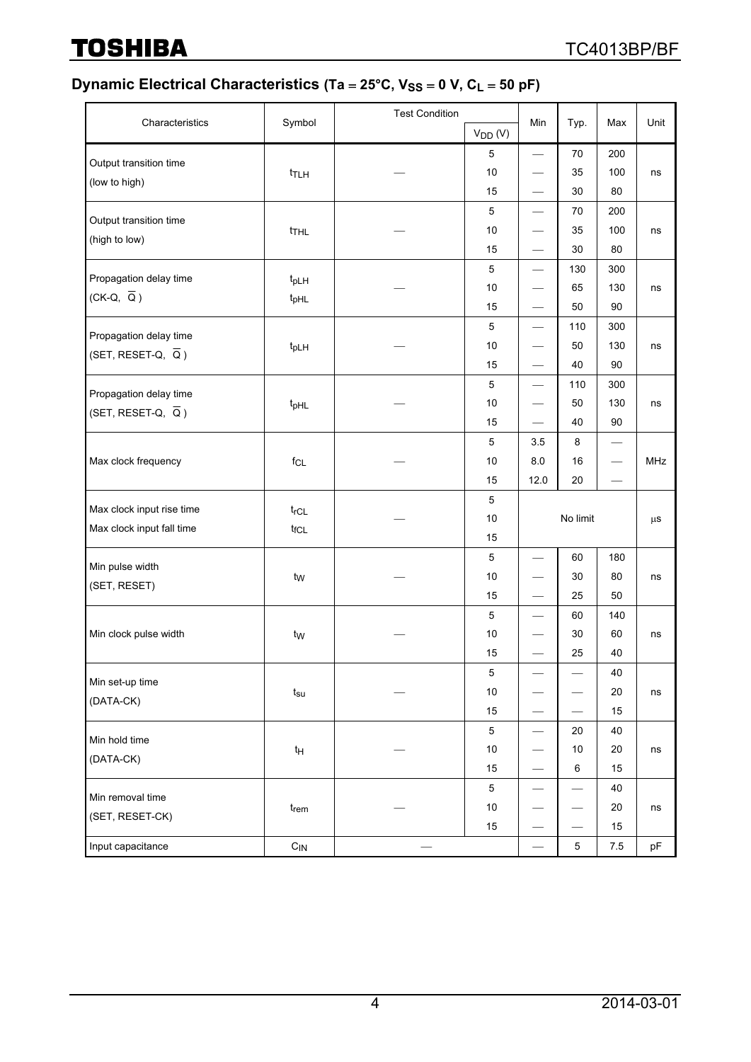**TOSHIBA** 

## **Dynamic Electrical Characteristics (Ta = 25°C, V<sub>SS</sub> = 0 V, C<sub>L</sub> = 50 pF)**

|                                                           |                   | <b>Test Condition</b> |              |                                  |                               |        |            |
|-----------------------------------------------------------|-------------------|-----------------------|--------------|----------------------------------|-------------------------------|--------|------------|
| Characteristics                                           | Symbol            |                       | $V_{DD} (V)$ | Min                              | Typ.                          | Max    | Unit       |
| Output transition time                                    |                   |                       | 5            |                                  | 70                            | 200    |            |
| (low to high)                                             | t <sub>TLH</sub>  |                       | 10           | $\overbrace{\phantom{13333}}$    | 35                            | 100    | ns         |
|                                                           |                   |                       | 15           |                                  | 30                            | 80     |            |
| Output transition time                                    |                   |                       | 5            |                                  | 70                            | 200    |            |
| (high to low)                                             | t <sub>THL</sub>  |                       | 10           |                                  | 35                            | 100    | ns         |
|                                                           |                   |                       | 15           |                                  | 30                            | 80     |            |
| Propagation delay time                                    |                   |                       | $\mathbf 5$  | $\qquad \qquad -$                | 130                           | 300    |            |
| $(CK-Q, \overline{Q})$                                    | t <sub>pLH</sub>  |                       | 10           |                                  | 65                            | 130    | ns         |
|                                                           | t <sub>pHL</sub>  |                       | 15           | $\hspace{0.05cm}$                | 50                            | 90     |            |
|                                                           |                   |                       | $\sqrt{5}$   | $\qquad \qquad \longleftarrow$   | 110                           | 300    |            |
| Propagation delay time<br>(SET, RESET-Q, $\overline{Q}$ ) | $t_{pLH}$         |                       | 10           | $\overbrace{\phantom{aaaaa}}$    | 50                            | 130    | ns         |
|                                                           |                   |                       | 15           | $\qquad \qquad -$                | 40                            | 90     |            |
|                                                           |                   |                       | 5            | $\overbrace{\phantom{123321}}$   | 110                           | 300    |            |
| Propagation delay time<br>(SET, RESET-Q, $\overline{Q}$ ) | t <sub>pHL</sub>  |                       | 10           |                                  | 50                            | 130    | ns         |
|                                                           |                   |                       | 15           |                                  | 40                            | 90     |            |
|                                                           |                   |                       | 5            | 3.5                              | 8                             |        |            |
| Max clock frequency                                       | $f_{CL}$          |                       | 10           | 8.0                              | 16                            |        | <b>MHz</b> |
|                                                           |                   |                       | 15           | 12.0                             | 20                            |        |            |
|                                                           |                   |                       | 5            |                                  |                               |        |            |
| Max clock input rise time                                 | $t_{rCL}$         |                       | 10           |                                  | No limit                      |        |            |
| Max clock input fall time                                 | $t_{fCL}$         |                       | 15           |                                  |                               |        |            |
|                                                           |                   |                       | 5            |                                  | 60                            | 180    |            |
| Min pulse width                                           | t <sub>w</sub>    |                       | 10           |                                  | 30                            | 80     | ns         |
| (SET, RESET)                                              |                   |                       | 15           | $\overbrace{\phantom{12322111}}$ | 25                            | 50     |            |
|                                                           |                   |                       | 5            |                                  | 60                            | 140    |            |
| Min clock pulse width                                     | t <sub>W</sub>    |                       | 10           |                                  | 30                            | 60     | ns         |
|                                                           |                   |                       | 15           |                                  | 25                            | 40     |            |
|                                                           |                   |                       | $\mathbf 5$  |                                  |                               | 40     |            |
| Min set-up time                                           | $t_{\text{su}}$   |                       | 10           |                                  |                               | $20\,$ | ns         |
| (DATA-CK)                                                 |                   |                       | 15           |                                  |                               | 15     |            |
|                                                           |                   |                       | $\mathbf 5$  | $\qquad \qquad \longleftarrow$   | 20                            | 40     |            |
| Min hold time<br>(DATA-CK)                                | $t_H$             |                       | $10$         |                                  | 10                            | 20     | ns         |
|                                                           |                   |                       | 15           | $\overbrace{\phantom{aaaaa}}$    | 6                             | 15     |            |
|                                                           |                   |                       | $\sqrt{5}$   |                                  | $\overbrace{\phantom{aaaaa}}$ | 40     |            |
| Min removal time                                          | $t_{rem}$         |                       | 10           |                                  |                               | 20     | ns         |
| (SET, RESET-CK)                                           |                   |                       | 15           | $\overline{\phantom{0}}$         |                               | 15     |            |
| Input capacitance                                         | $C_{\textsf{IN}}$ |                       |              |                                  | $\mathbf 5$                   | 7.5    | pF         |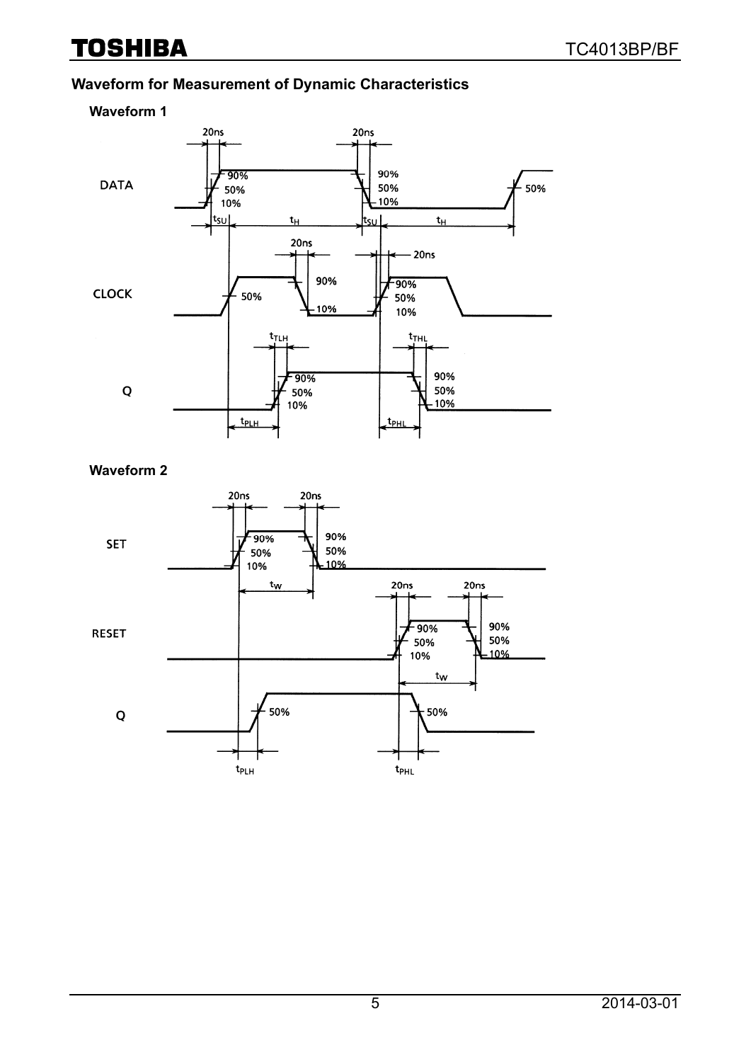# **TOSHIBA**

### **Waveform for Measurement of Dynamic Characteristics**



#### **Waveform 2**

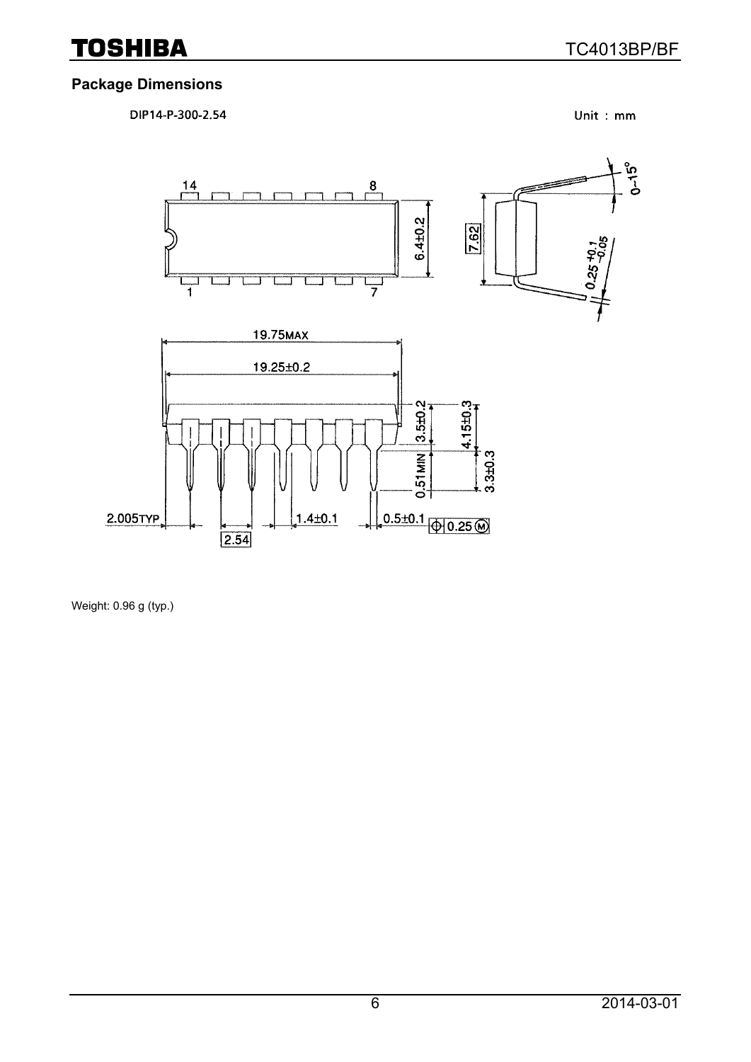### **Package Dimensions**

DIP14-P-300-2.54

Unit: mm



Weight: 0.96 g (typ.)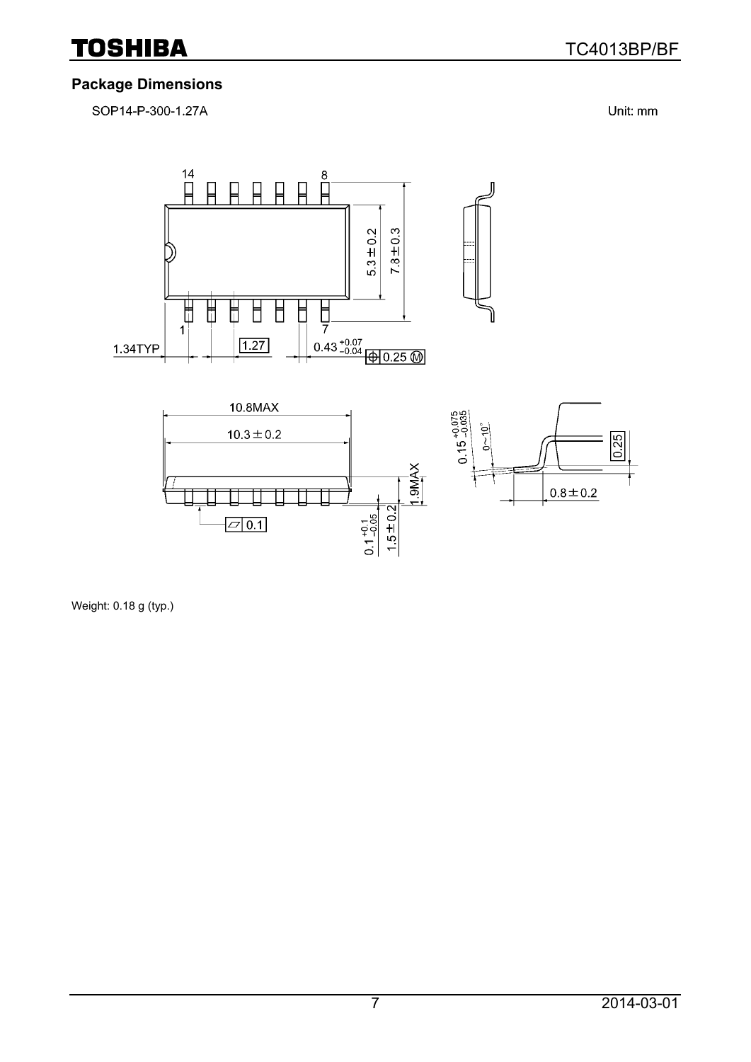

#### **Package Dimensions**

SOP14-P-300-1.27A

Unit: mm



Weight: 0.18 g (typ.)